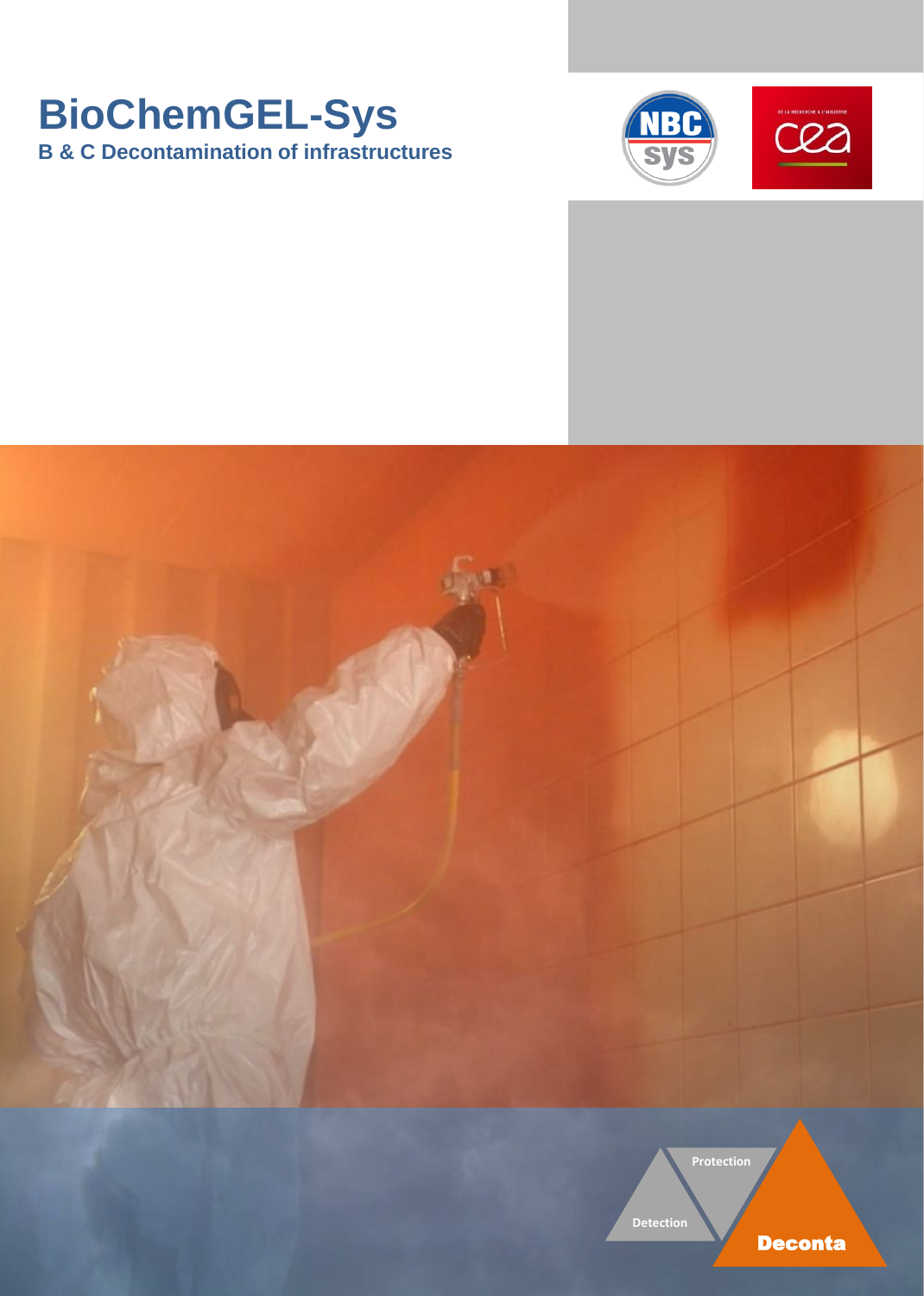# **BioChemGEL-Sys B & C Decontamination of infrastructures**